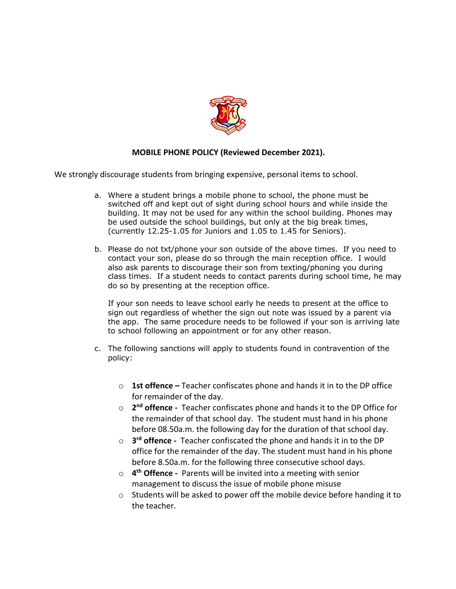

## **MOBILE PHONE POLICY (Reviewed December 2021).**

We strongly discourage students from bringing expensive, personal items to school.

- a. Where a student brings a mobile phone to school, the phone must be switched off and kept out of sight during school hours and while inside the building. It may not be used for any within the school building. Phones may be used outside the school buildings, but only at the big break times, (currently 12.25-1.05 for Juniors and 1.05 to 1.45 for Seniors).
- b. Please do not txt/phone your son outside of the above times. If you need to contact your son, please do so through the main reception office. I would also ask parents to discourage their son from texting/phoning you during class times. If a student needs to contact parents during school time, he may do so by presenting at the reception office.

If your son needs to leave school early he needs to present at the office to sign out regardless of whether the sign out note was issued by a parent via the app. The same procedure needs to be followed if your son is arriving late to school following an appointment or for any other reason.

- c. The following sanctions will apply to students found in contravention of the policy:
	- o **1st offence –** Teacher confiscates phone and hands it in to the DP office for remainder of the day.
	- o **2nd offence -** Teacher confiscates phone and hands it to the DP Office for the remainder of that school day. The student must hand in his phone before 08.50a.m. the following day for the duration of that school day.
	- o **3rd offence -** Teacher confiscated the phone and hands it in to the DP office for the remainder of the day. The student must hand in his phone before 8.50a.m. for the following three consecutive school days.
	- o **4th Offence -** Parents will be invited into a meeting with senior management to discuss the issue of mobile phone misuse
	- o Students will be asked to power off the mobile device before handing it to the teacher.